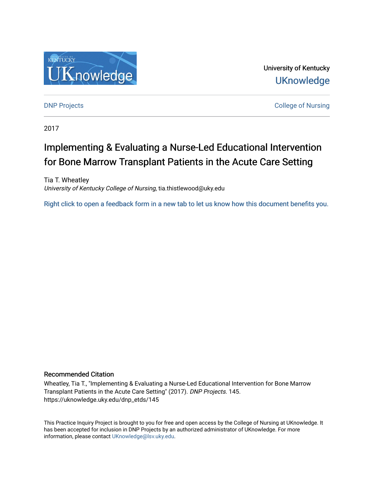

University of Kentucky **UKnowledge** 

**DNP Projects** College of Nursing

2017

# Implementing & Evaluating a Nurse-Led Educational Intervention for Bone Marrow Transplant Patients in the Acute Care Setting

Tia T. Wheatley University of Kentucky College of Nursing, tia.thistlewood@uky.edu

[Right click to open a feedback form in a new tab to let us know how this document benefits you.](https://uky.az1.qualtrics.com/jfe/form/SV_9mq8fx2GnONRfz7)

## Recommended Citation

Wheatley, Tia T., "Implementing & Evaluating a Nurse-Led Educational Intervention for Bone Marrow Transplant Patients in the Acute Care Setting" (2017). DNP Projects. 145. https://uknowledge.uky.edu/dnp\_etds/145

This Practice Inquiry Project is brought to you for free and open access by the College of Nursing at UKnowledge. It has been accepted for inclusion in DNP Projects by an authorized administrator of UKnowledge. For more information, please contact [UKnowledge@lsv.uky.edu](mailto:UKnowledge@lsv.uky.edu).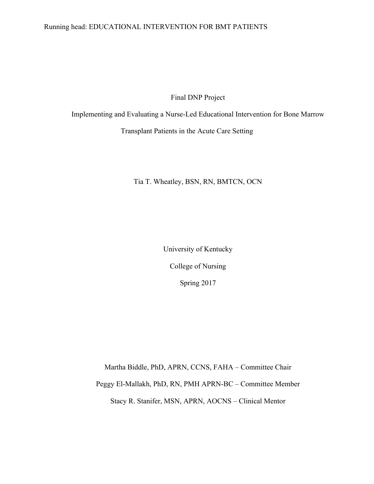## Running head: EDUCATIONAL INTERVENTION FOR BMT PATIENTS

Final DNP Project

Implementing and Evaluating a Nurse-Led Educational Intervention for Bone Marrow

Transplant Patients in the Acute Care Setting

Tia T. Wheatley, BSN, RN, BMTCN, OCN

University of Kentucky College of Nursing Spring 2017

Martha Biddle, PhD, APRN, CCNS, FAHA – Committee Chair Peggy El-Mallakh, PhD, RN, PMH APRN-BC – Committee Member Stacy R. Stanifer, MSN, APRN, AOCNS – Clinical Mentor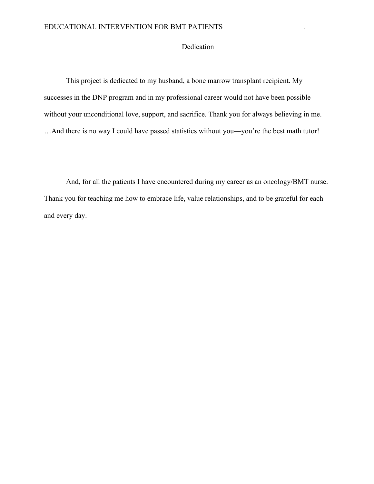## EDUCATIONAL INTERVENTION FOR BMT PATIENTS

## Dedication

This project is dedicated to my husband, a bone marrow transplant recipient. My successes in the DNP program and in my professional career would not have been possible without your unconditional love, support, and sacrifice. Thank you for always believing in me. …And there is no way I could have passed statistics without you—you're the best math tutor!

And, for all the patients I have encountered during my career as an oncology/BMT nurse. Thank you for teaching me how to embrace life, value relationships, and to be grateful for each and every day.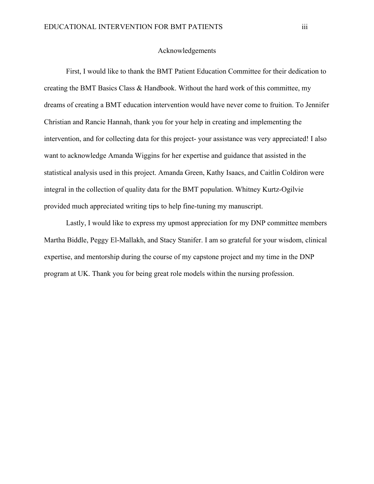## Acknowledgements

First, I would like to thank the BMT Patient Education Committee for their dedication to creating the BMT Basics Class & Handbook. Without the hard work of this committee, my dreams of creating a BMT education intervention would have never come to fruition. To Jennifer Christian and Rancie Hannah, thank you for your help in creating and implementing the intervention, and for collecting data for this project- your assistance was very appreciated! I also want to acknowledge Amanda Wiggins for her expertise and guidance that assisted in the statistical analysis used in this project. Amanda Green, Kathy Isaacs, and Caitlin Coldiron were integral in the collection of quality data for the BMT population. Whitney Kurtz-Ogilvie provided much appreciated writing tips to help fine-tuning my manuscript.

Lastly, I would like to express my upmost appreciation for my DNP committee members Martha Biddle, Peggy El-Mallakh, and Stacy Stanifer. I am so grateful for your wisdom, clinical expertise, and mentorship during the course of my capstone project and my time in the DNP program at UK. Thank you for being great role models within the nursing profession.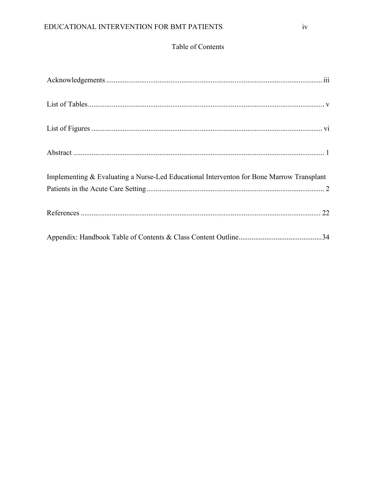# Table of Contents

| Implementing & Evaluating a Nurse-Led Educational Interventon for Bone Marrow Transplant |
|------------------------------------------------------------------------------------------|
|                                                                                          |
|                                                                                          |
|                                                                                          |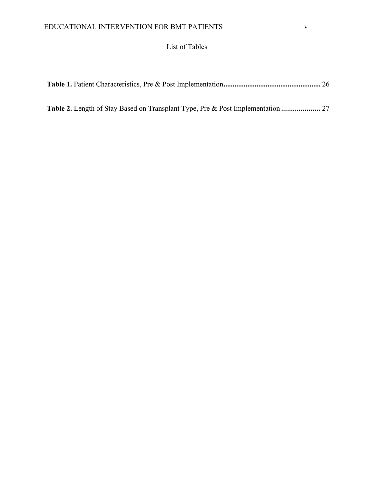## List of Tables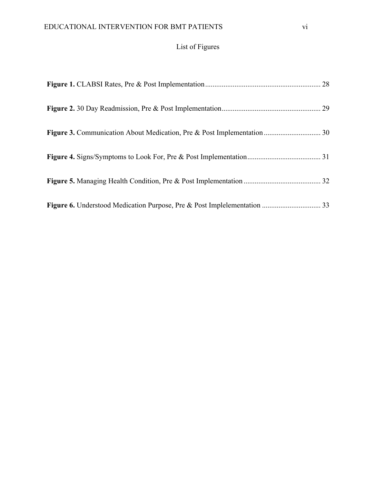# List of Figures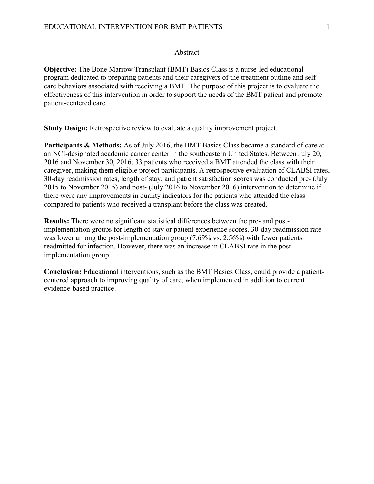#### Abstract

**Objective:** The Bone Marrow Transplant (BMT) Basics Class is a nurse-led educational program dedicated to preparing patients and their caregivers of the treatment outline and selfcare behaviors associated with receiving a BMT. The purpose of this project is to evaluate the effectiveness of this intervention in order to support the needs of the BMT patient and promote patient-centered care.

**Study Design:** Retrospective review to evaluate a quality improvement project.

**Participants & Methods:** As of July 2016, the BMT Basics Class became a standard of care at an NCI-designated academic cancer center in the southeastern United States. Between July 20, 2016 and November 30, 2016, 33 patients who received a BMT attended the class with their caregiver, making them eligible project participants. A retrospective evaluation of CLABSI rates, 30-day readmission rates, length of stay, and patient satisfaction scores was conducted pre- (July 2015 to November 2015) and post- (July 2016 to November 2016) intervention to determine if there were any improvements in quality indicators for the patients who attended the class compared to patients who received a transplant before the class was created.

**Results:** There were no significant statistical differences between the pre- and postimplementation groups for length of stay or patient experience scores. 30-day readmission rate was lower among the post-implementation group (7.69% vs. 2.56%) with fewer patients readmitted for infection. However, there was an increase in CLABSI rate in the postimplementation group.

**Conclusion:** Educational interventions, such as the BMT Basics Class, could provide a patientcentered approach to improving quality of care, when implemented in addition to current evidence-based practice.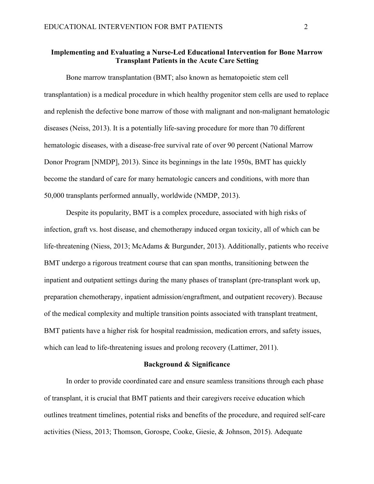## **Implementing and Evaluating a Nurse-Led Educational Intervention for Bone Marrow Transplant Patients in the Acute Care Setting**

Bone marrow transplantation (BMT; also known as hematopoietic stem cell transplantation) is a medical procedure in which healthy progenitor stem cells are used to replace and replenish the defective bone marrow of those with malignant and non-malignant hematologic diseases (Neiss, 2013). It is a potentially life-saving procedure for more than 70 different hematologic diseases, with a disease-free survival rate of over 90 percent (National Marrow Donor Program [NMDP], 2013). Since its beginnings in the late 1950s, BMT has quickly become the standard of care for many hematologic cancers and conditions, with more than 50,000 transplants performed annually, worldwide (NMDP, 2013).

Despite its popularity, BMT is a complex procedure, associated with high risks of infection, graft vs. host disease, and chemotherapy induced organ toxicity, all of which can be life-threatening (Niess, 2013; McAdams & Burgunder, 2013). Additionally, patients who receive BMT undergo a rigorous treatment course that can span months, transitioning between the inpatient and outpatient settings during the many phases of transplant (pre-transplant work up, preparation chemotherapy, inpatient admission/engraftment, and outpatient recovery). Because of the medical complexity and multiple transition points associated with transplant treatment, BMT patients have a higher risk for hospital readmission, medication errors, and safety issues, which can lead to life-threatening issues and prolong recovery (Lattimer, 2011).

#### **Background & Significance**

In order to provide coordinated care and ensure seamless transitions through each phase of transplant, it is crucial that BMT patients and their caregivers receive education which outlines treatment timelines, potential risks and benefits of the procedure, and required self-care activities (Niess, 2013; Thomson, Gorospe, Cooke, Giesie, & Johnson, 2015). Adequate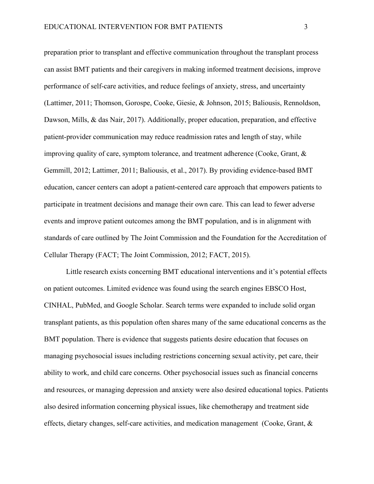preparation prior to transplant and effective communication throughout the transplant process can assist BMT patients and their caregivers in making informed treatment decisions, improve performance of self-care activities, and reduce feelings of anxiety, stress, and uncertainty (Lattimer, 2011; Thomson, Gorospe, Cooke, Giesie, & Johnson, 2015; Baliousis, Rennoldson, Dawson, Mills, & das Nair, 2017). Additionally, proper education, preparation, and effective patient-provider communication may reduce readmission rates and length of stay, while improving quality of care, symptom tolerance, and treatment adherence (Cooke, Grant, & Gemmill, 2012; Lattimer, 2011; Baliousis, et al., 2017). By providing evidence-based BMT education, cancer centers can adopt a patient-centered care approach that empowers patients to participate in treatment decisions and manage their own care. This can lead to fewer adverse events and improve patient outcomes among the BMT population, and is in alignment with standards of care outlined by The Joint Commission and the Foundation for the Accreditation of Cellular Therapy (FACT; The Joint Commission, 2012; FACT, 2015).

Little research exists concerning BMT educational interventions and it's potential effects on patient outcomes. Limited evidence was found using the search engines EBSCO Host, CINHAL, PubMed, and Google Scholar. Search terms were expanded to include solid organ transplant patients, as this population often shares many of the same educational concerns as the BMT population. There is evidence that suggests patients desire education that focuses on managing psychosocial issues including restrictions concerning sexual activity, pet care, their ability to work, and child care concerns. Other psychosocial issues such as financial concerns and resources, or managing depression and anxiety were also desired educational topics. Patients also desired information concerning physical issues, like chemotherapy and treatment side effects, dietary changes, self-care activities, and medication management (Cooke, Grant, &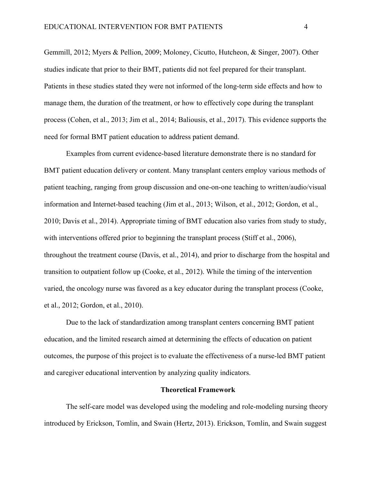Gemmill, 2012; Myers & Pellion, 2009; Moloney, Cicutto, Hutcheon, & Singer, 2007). Other studies indicate that prior to their BMT, patients did not feel prepared for their transplant. Patients in these studies stated they were not informed of the long-term side effects and how to manage them, the duration of the treatment, or how to effectively cope during the transplant process (Cohen, et al., 2013; Jim et al., 2014; Baliousis, et al., 2017). This evidence supports the need for formal BMT patient education to address patient demand.

Examples from current evidence-based literature demonstrate there is no standard for BMT patient education delivery or content. Many transplant centers employ various methods of patient teaching, ranging from group discussion and one-on-one teaching to written/audio/visual information and Internet-based teaching (Jim et al., 2013; Wilson, et al., 2012; Gordon, et al., 2010; Davis et al., 2014). Appropriate timing of BMT education also varies from study to study, with interventions offered prior to beginning the transplant process (Stiff et al., 2006), throughout the treatment course (Davis, et al., 2014), and prior to discharge from the hospital and transition to outpatient follow up (Cooke, et al., 2012). While the timing of the intervention varied, the oncology nurse was favored as a key educator during the transplant process (Cooke, et al., 2012; Gordon, et al., 2010).

Due to the lack of standardization among transplant centers concerning BMT patient education, and the limited research aimed at determining the effects of education on patient outcomes, the purpose of this project is to evaluate the effectiveness of a nurse-led BMT patient and caregiver educational intervention by analyzing quality indicators.

#### **Theoretical Framework**

The self-care model was developed using the modeling and role-modeling nursing theory introduced by Erickson, Tomlin, and Swain (Hertz, 2013). Erickson, Tomlin, and Swain suggest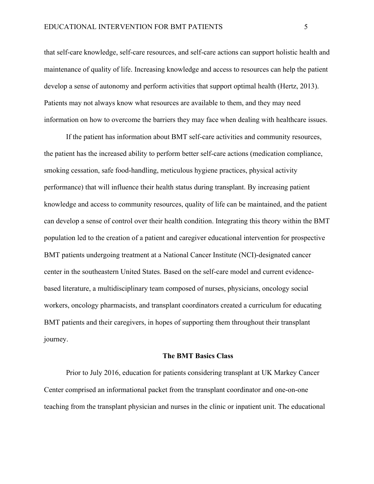that self-care knowledge, self-care resources, and self-care actions can support holistic health and maintenance of quality of life. Increasing knowledge and access to resources can help the patient develop a sense of autonomy and perform activities that support optimal health (Hertz, 2013). Patients may not always know what resources are available to them, and they may need information on how to overcome the barriers they may face when dealing with healthcare issues.

If the patient has information about BMT self-care activities and community resources, the patient has the increased ability to perform better self-care actions (medication compliance, smoking cessation, safe food-handling, meticulous hygiene practices, physical activity performance) that will influence their health status during transplant. By increasing patient knowledge and access to community resources, quality of life can be maintained, and the patient can develop a sense of control over their health condition. Integrating this theory within the BMT population led to the creation of a patient and caregiver educational intervention for prospective BMT patients undergoing treatment at a National Cancer Institute (NCI)-designated cancer center in the southeastern United States. Based on the self-care model and current evidencebased literature, a multidisciplinary team composed of nurses, physicians, oncology social workers, oncology pharmacists, and transplant coordinators created a curriculum for educating BMT patients and their caregivers, in hopes of supporting them throughout their transplant journey.

#### **The BMT Basics Class**

Prior to July 2016, education for patients considering transplant at UK Markey Cancer Center comprised an informational packet from the transplant coordinator and one-on-one teaching from the transplant physician and nurses in the clinic or inpatient unit. The educational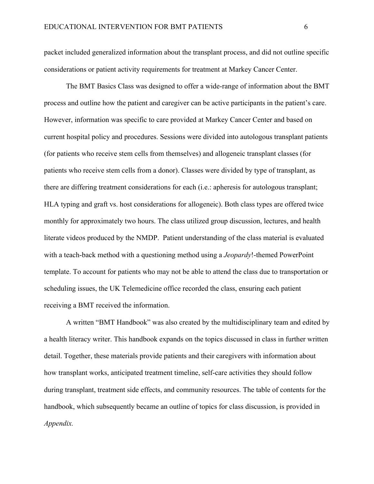packet included generalized information about the transplant process, and did not outline specific considerations or patient activity requirements for treatment at Markey Cancer Center.

The BMT Basics Class was designed to offer a wide-range of information about the BMT process and outline how the patient and caregiver can be active participants in the patient's care. However, information was specific to care provided at Markey Cancer Center and based on current hospital policy and procedures. Sessions were divided into autologous transplant patients (for patients who receive stem cells from themselves) and allogeneic transplant classes (for patients who receive stem cells from a donor). Classes were divided by type of transplant, as there are differing treatment considerations for each (i.e.: apheresis for autologous transplant; HLA typing and graft vs. host considerations for allogeneic). Both class types are offered twice monthly for approximately two hours. The class utilized group discussion, lectures, and health literate videos produced by the NMDP. Patient understanding of the class material is evaluated with a teach-back method with a questioning method using a *Jeopardy*!-themed PowerPoint template. To account for patients who may not be able to attend the class due to transportation or scheduling issues, the UK Telemedicine office recorded the class, ensuring each patient receiving a BMT received the information.

A written "BMT Handbook" was also created by the multidisciplinary team and edited by a health literacy writer. This handbook expands on the topics discussed in class in further written detail. Together, these materials provide patients and their caregivers with information about how transplant works, anticipated treatment timeline, self-care activities they should follow during transplant, treatment side effects, and community resources. The table of contents for the handbook, which subsequently became an outline of topics for class discussion, is provided in *Appendix.*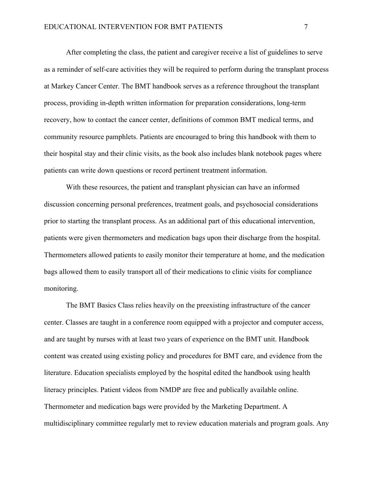After completing the class, the patient and caregiver receive a list of guidelines to serve as a reminder of self-care activities they will be required to perform during the transplant process at Markey Cancer Center. The BMT handbook serves as a reference throughout the transplant process, providing in-depth written information for preparation considerations, long-term recovery, how to contact the cancer center, definitions of common BMT medical terms, and community resource pamphlets. Patients are encouraged to bring this handbook with them to their hospital stay and their clinic visits, as the book also includes blank notebook pages where patients can write down questions or record pertinent treatment information.

With these resources, the patient and transplant physician can have an informed discussion concerning personal preferences, treatment goals, and psychosocial considerations prior to starting the transplant process. As an additional part of this educational intervention, patients were given thermometers and medication bags upon their discharge from the hospital. Thermometers allowed patients to easily monitor their temperature at home, and the medication bags allowed them to easily transport all of their medications to clinic visits for compliance monitoring.

The BMT Basics Class relies heavily on the preexisting infrastructure of the cancer center. Classes are taught in a conference room equipped with a projector and computer access, and are taught by nurses with at least two years of experience on the BMT unit. Handbook content was created using existing policy and procedures for BMT care, and evidence from the literature. Education specialists employed by the hospital edited the handbook using health literacy principles. Patient videos from NMDP are free and publically available online. Thermometer and medication bags were provided by the Marketing Department. A multidisciplinary committee regularly met to review education materials and program goals. Any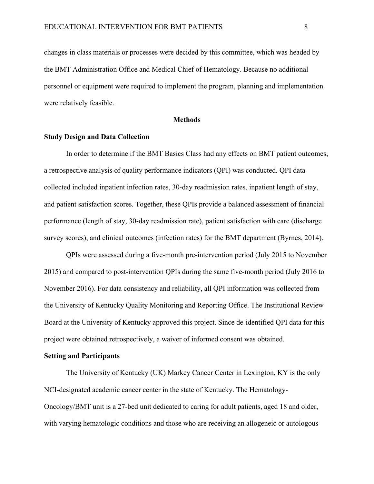changes in class materials or processes were decided by this committee, which was headed by the BMT Administration Office and Medical Chief of Hematology. Because no additional personnel or equipment were required to implement the program, planning and implementation were relatively feasible.

#### **Methods**

#### **Study Design and Data Collection**

In order to determine if the BMT Basics Class had any effects on BMT patient outcomes, a retrospective analysis of quality performance indicators (QPI) was conducted. QPI data collected included inpatient infection rates, 30-day readmission rates, inpatient length of stay, and patient satisfaction scores. Together, these QPIs provide a balanced assessment of financial performance (length of stay, 30-day readmission rate), patient satisfaction with care (discharge survey scores), and clinical outcomes (infection rates) for the BMT department (Byrnes, 2014).

QPIs were assessed during a five-month pre-intervention period (July 2015 to November 2015) and compared to post-intervention QPIs during the same five-month period (July 2016 to November 2016). For data consistency and reliability, all QPI information was collected from the University of Kentucky Quality Monitoring and Reporting Office. The Institutional Review Board at the University of Kentucky approved this project. Since de-identified QPI data for this project were obtained retrospectively, a waiver of informed consent was obtained.

### **Setting and Participants**

The University of Kentucky (UK) Markey Cancer Center in Lexington, KY is the only NCI-designated academic cancer center in the state of Kentucky. The Hematology-Oncology/BMT unit is a 27-bed unit dedicated to caring for adult patients, aged 18 and older, with varying hematologic conditions and those who are receiving an allogeneic or autologous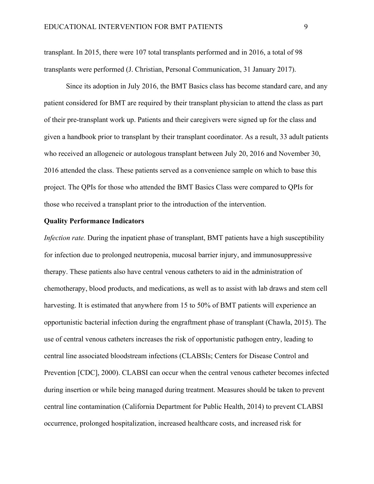transplant. In 2015, there were 107 total transplants performed and in 2016, a total of 98 transplants were performed (J. Christian, Personal Communication, 31 January 2017).

Since its adoption in July 2016, the BMT Basics class has become standard care, and any patient considered for BMT are required by their transplant physician to attend the class as part of their pre-transplant work up. Patients and their caregivers were signed up for the class and given a handbook prior to transplant by their transplant coordinator. As a result, 33 adult patients who received an allogeneic or autologous transplant between July 20, 2016 and November 30, 2016 attended the class. These patients served as a convenience sample on which to base this project. The QPIs for those who attended the BMT Basics Class were compared to QPIs for those who received a transplant prior to the introduction of the intervention.

#### **Quality Performance Indicators**

*Infection rate.* During the inpatient phase of transplant, BMT patients have a high susceptibility for infection due to prolonged neutropenia, mucosal barrier injury, and immunosuppressive therapy. These patients also have central venous catheters to aid in the administration of chemotherapy, blood products, and medications, as well as to assist with lab draws and stem cell harvesting. It is estimated that anywhere from 15 to 50% of BMT patients will experience an opportunistic bacterial infection during the engraftment phase of transplant (Chawla, 2015). The use of central venous catheters increases the risk of opportunistic pathogen entry, leading to central line associated bloodstream infections (CLABSIs; Centers for Disease Control and Prevention [CDC], 2000). CLABSI can occur when the central venous catheter becomes infected during insertion or while being managed during treatment. Measures should be taken to prevent central line contamination (California Department for Public Health, 2014) to prevent CLABSI occurrence, prolonged hospitalization, increased healthcare costs, and increased risk for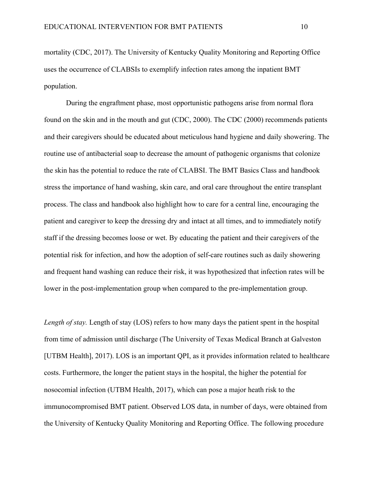mortality (CDC, 2017). The University of Kentucky Quality Monitoring and Reporting Office uses the occurrence of CLABSIs to exemplify infection rates among the inpatient BMT population.

During the engraftment phase, most opportunistic pathogens arise from normal flora found on the skin and in the mouth and gut (CDC, 2000). The CDC (2000) recommends patients and their caregivers should be educated about meticulous hand hygiene and daily showering. The routine use of antibacterial soap to decrease the amount of pathogenic organisms that colonize the skin has the potential to reduce the rate of CLABSI. The BMT Basics Class and handbook stress the importance of hand washing, skin care, and oral care throughout the entire transplant process. The class and handbook also highlight how to care for a central line, encouraging the patient and caregiver to keep the dressing dry and intact at all times, and to immediately notify staff if the dressing becomes loose or wet. By educating the patient and their caregivers of the potential risk for infection, and how the adoption of self-care routines such as daily showering and frequent hand washing can reduce their risk, it was hypothesized that infection rates will be lower in the post-implementation group when compared to the pre-implementation group.

*Length of stay.* Length of stay (LOS) refers to how many days the patient spent in the hospital from time of admission until discharge (The University of Texas Medical Branch at Galveston [UTBM Health], 2017). LOS is an important QPI, as it provides information related to healthcare costs. Furthermore, the longer the patient stays in the hospital, the higher the potential for nosocomial infection (UTBM Health, 2017), which can pose a major heath risk to the immunocompromised BMT patient. Observed LOS data, in number of days, were obtained from the University of Kentucky Quality Monitoring and Reporting Office. The following procedure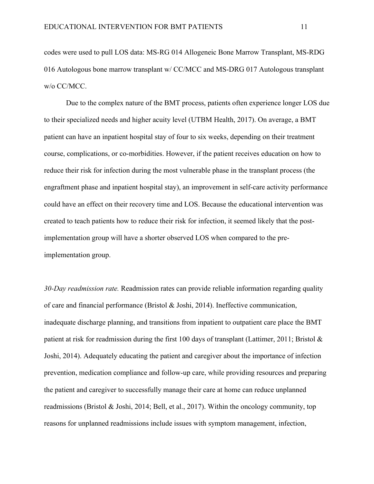codes were used to pull LOS data: MS-RG 014 Allogeneic Bone Marrow Transplant, MS-RDG 016 Autologous bone marrow transplant w/ CC/MCC and MS-DRG 017 Autologous transplant w/o CC/MCC.

Due to the complex nature of the BMT process, patients often experience longer LOS due to their specialized needs and higher acuity level (UTBM Health, 2017). On average, a BMT patient can have an inpatient hospital stay of four to six weeks, depending on their treatment course, complications, or co-morbidities. However, if the patient receives education on how to reduce their risk for infection during the most vulnerable phase in the transplant process (the engraftment phase and inpatient hospital stay), an improvement in self-care activity performance could have an effect on their recovery time and LOS. Because the educational intervention was created to teach patients how to reduce their risk for infection, it seemed likely that the postimplementation group will have a shorter observed LOS when compared to the preimplementation group.

*30-Day readmission rate.* Readmission rates can provide reliable information regarding quality of care and financial performance (Bristol & Joshi, 2014). Ineffective communication, inadequate discharge planning, and transitions from inpatient to outpatient care place the BMT patient at risk for readmission during the first 100 days of transplant (Lattimer, 2011; Bristol & Joshi, 2014). Adequately educating the patient and caregiver about the importance of infection prevention, medication compliance and follow-up care, while providing resources and preparing the patient and caregiver to successfully manage their care at home can reduce unplanned readmissions (Bristol & Joshi, 2014; Bell, et al., 2017). Within the oncology community, top reasons for unplanned readmissions include issues with symptom management, infection,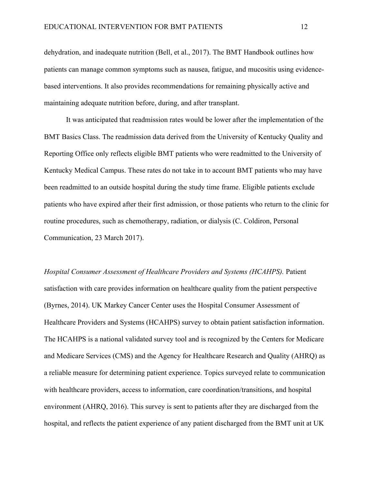dehydration, and inadequate nutrition (Bell, et al., 2017). The BMT Handbook outlines how patients can manage common symptoms such as nausea, fatigue, and mucositis using evidencebased interventions. It also provides recommendations for remaining physically active and maintaining adequate nutrition before, during, and after transplant.

It was anticipated that readmission rates would be lower after the implementation of the BMT Basics Class. The readmission data derived from the University of Kentucky Quality and Reporting Office only reflects eligible BMT patients who were readmitted to the University of Kentucky Medical Campus. These rates do not take in to account BMT patients who may have been readmitted to an outside hospital during the study time frame. Eligible patients exclude patients who have expired after their first admission, or those patients who return to the clinic for routine procedures, such as chemotherapy, radiation, or dialysis (C. Coldiron, Personal Communication, 23 March 2017).

*Hospital Consumer Assessment of Healthcare Providers and Systems (HCAHPS).* Patient satisfaction with care provides information on healthcare quality from the patient perspective (Byrnes, 2014). UK Markey Cancer Center uses the Hospital Consumer Assessment of Healthcare Providers and Systems (HCAHPS) survey to obtain patient satisfaction information. The HCAHPS is a national validated survey tool and is recognized by the Centers for Medicare and Medicare Services (CMS) and the Agency for Healthcare Research and Quality (AHRQ) as a reliable measure for determining patient experience. Topics surveyed relate to communication with healthcare providers, access to information, care coordination/transitions, and hospital environment (AHRQ, 2016). This survey is sent to patients after they are discharged from the hospital, and reflects the patient experience of any patient discharged from the BMT unit at UK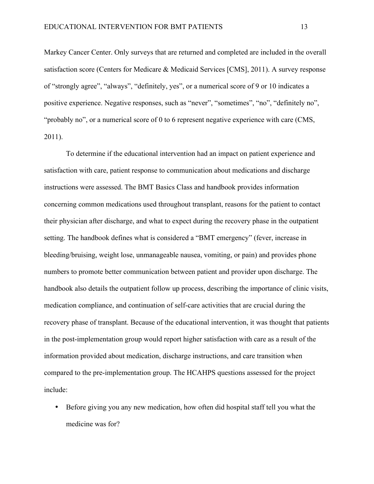Markey Cancer Center. Only surveys that are returned and completed are included in the overall satisfaction score (Centers for Medicare & Medicaid Services [CMS], 2011). A survey response of "strongly agree", "always", "definitely, yes", or a numerical score of 9 or 10 indicates a positive experience. Negative responses, such as "never", "sometimes", "no", "definitely no", "probably no", or a numerical score of 0 to 6 represent negative experience with care (CMS, 2011).

To determine if the educational intervention had an impact on patient experience and satisfaction with care, patient response to communication about medications and discharge instructions were assessed. The BMT Basics Class and handbook provides information concerning common medications used throughout transplant, reasons for the patient to contact their physician after discharge, and what to expect during the recovery phase in the outpatient setting. The handbook defines what is considered a "BMT emergency" (fever, increase in bleeding/bruising, weight lose, unmanageable nausea, vomiting, or pain) and provides phone numbers to promote better communication between patient and provider upon discharge. The handbook also details the outpatient follow up process, describing the importance of clinic visits, medication compliance, and continuation of self-care activities that are crucial during the recovery phase of transplant. Because of the educational intervention, it was thought that patients in the post-implementation group would report higher satisfaction with care as a result of the information provided about medication, discharge instructions, and care transition when compared to the pre-implementation group. The HCAHPS questions assessed for the project include:

• Before giving you any new medication, how often did hospital staff tell you what the medicine was for?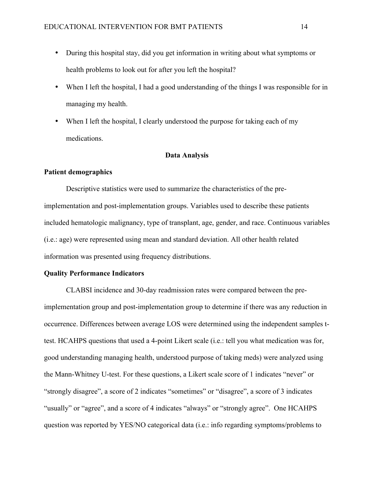- During this hospital stay, did you get information in writing about what symptoms or health problems to look out for after you left the hospital?
- When I left the hospital, I had a good understanding of the things I was responsible for in managing my health.
- When I left the hospital, I clearly understood the purpose for taking each of my medications.

#### **Data Analysis**

## **Patient demographics**

Descriptive statistics were used to summarize the characteristics of the preimplementation and post-implementation groups. Variables used to describe these patients included hematologic malignancy, type of transplant, age, gender, and race. Continuous variables (i.e.: age) were represented using mean and standard deviation. All other health related information was presented using frequency distributions.

#### **Quality Performance Indicators**

CLABSI incidence and 30-day readmission rates were compared between the preimplementation group and post-implementation group to determine if there was any reduction in occurrence. Differences between average LOS were determined using the independent samples ttest. HCAHPS questions that used a 4-point Likert scale (i.e.: tell you what medication was for, good understanding managing health, understood purpose of taking meds) were analyzed using the Mann-Whitney U-test. For these questions, a Likert scale score of 1 indicates "never" or "strongly disagree", a score of 2 indicates "sometimes" or "disagree", a score of 3 indicates "usually" or "agree", and a score of 4 indicates "always" or "strongly agree". One HCAHPS question was reported by YES/NO categorical data (i.e.: info regarding symptoms/problems to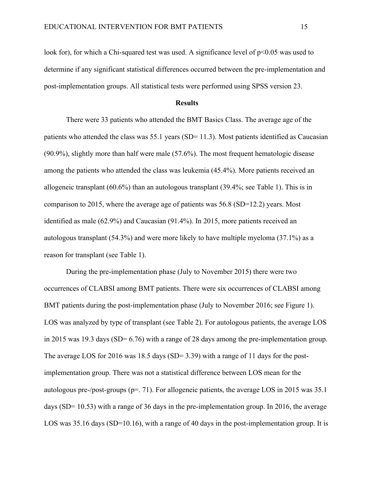look for), for which a Chi-squared test was used. A significance level of  $p<0.05$  was used to determine if any significant statistical differences occurred between the pre-implementation and post-implementation groups. All statistical tests were performed using SPSS version 23.

#### **Results**

There were 33 patients who attended the BMT Basics Class. The average age of the patients who attended the class was 55.1 years (SD= 11.3). Most patients identified as Caucasian (90.9%), slightly more than half were male (57.6%). The most frequent hematologic disease among the patients who attended the class was leukemia (45.4%). More patients received an allogeneic transplant (60.6%) than an autologous transplant (39.4%; see Table 1). This is in comparison to 2015, where the average age of patients was 56.8 (SD=12.2) years. Most identified as male (62.9%) and Caucasian (91.4%). In 2015, more patients received an autologous transplant (54.3%) and were more likely to have multiple myeloma (37.1%) as a reason for transplant (see Table 1).

During the pre-implementation phase (July to November 2015) there were two occurrences of CLABSI among BMT patients. There were six occurrences of CLABSI among BMT patients during the post-implementation phase (July to November 2016; see Figure 1). LOS was analyzed by type of transplant (see Table 2). For autologous patients, the average LOS in 2015 was 19.3 days (SD= 6.76) with a range of 28 days among the pre-implementation group. The average LOS for 2016 was 18.5 days (SD= 3.39) with a range of 11 days for the postimplementation group. There was not a statistical difference between LOS mean for the autologous pre-/post-groups (p=. 71). For allogeneic patients, the average LOS in 2015 was 35.1 days (SD= 10.53) with a range of 36 days in the pre-implementation group. In 2016, the average LOS was 35.16 days (SD=10.16), with a range of 40 days in the post-implementation group. It is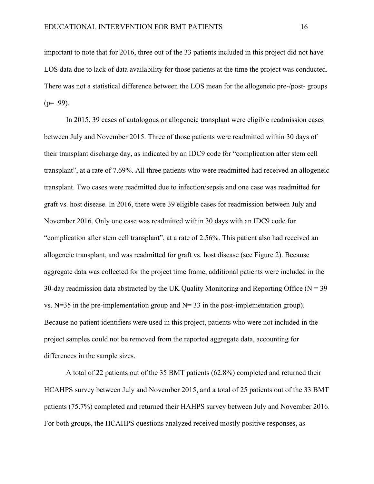important to note that for 2016, three out of the 33 patients included in this project did not have LOS data due to lack of data availability for those patients at the time the project was conducted. There was not a statistical difference between the LOS mean for the allogeneic pre-/post- groups  $(p= .99)$ .

In 2015, 39 cases of autologous or allogeneic transplant were eligible readmission cases between July and November 2015. Three of those patients were readmitted within 30 days of their transplant discharge day, as indicated by an IDC9 code for "complication after stem cell transplant", at a rate of 7.69%. All three patients who were readmitted had received an allogeneic transplant. Two cases were readmitted due to infection/sepsis and one case was readmitted for graft vs. host disease. In 2016, there were 39 eligible cases for readmission between July and November 2016. Only one case was readmitted within 30 days with an IDC9 code for "complication after stem cell transplant", at a rate of 2.56%. This patient also had received an allogeneic transplant, and was readmitted for graft vs. host disease (see Figure 2). Because aggregate data was collected for the project time frame, additional patients were included in the 30-day readmission data abstracted by the UK Quality Monitoring and Reporting Office ( $N = 39$ ) vs. N=35 in the pre-implementation group and N= 33 in the post-implementation group). Because no patient identifiers were used in this project, patients who were not included in the project samples could not be removed from the reported aggregate data, accounting for differences in the sample sizes.

A total of 22 patients out of the 35 BMT patients (62.8%) completed and returned their HCAHPS survey between July and November 2015, and a total of 25 patients out of the 33 BMT patients (75.7%) completed and returned their HAHPS survey between July and November 2016. For both groups, the HCAHPS questions analyzed received mostly positive responses, as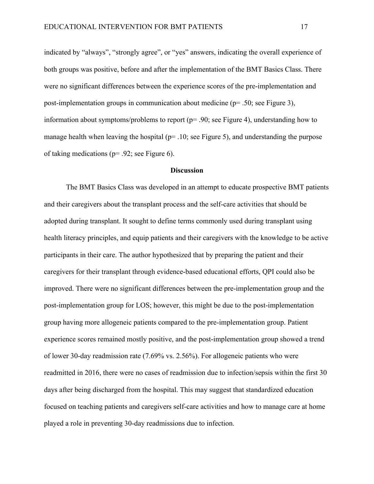indicated by "always", "strongly agree", or "yes" answers, indicating the overall experience of both groups was positive, before and after the implementation of the BMT Basics Class. There were no significant differences between the experience scores of the pre-implementation and post-implementation groups in communication about medicine (p= .50; see Figure 3), information about symptoms/problems to report (p= .90; see Figure 4), understanding how to manage health when leaving the hospital ( $p= 0.10$ ; see Figure 5), and understanding the purpose of taking medications (p= .92; see Figure 6).

#### **Discussion**

The BMT Basics Class was developed in an attempt to educate prospective BMT patients and their caregivers about the transplant process and the self-care activities that should be adopted during transplant. It sought to define terms commonly used during transplant using health literacy principles, and equip patients and their caregivers with the knowledge to be active participants in their care. The author hypothesized that by preparing the patient and their caregivers for their transplant through evidence-based educational efforts, QPI could also be improved. There were no significant differences between the pre-implementation group and the post-implementation group for LOS; however, this might be due to the post-implementation group having more allogeneic patients compared to the pre-implementation group. Patient experience scores remained mostly positive, and the post-implementation group showed a trend of lower 30-day readmission rate (7.69% vs. 2.56%). For allogeneic patients who were readmitted in 2016, there were no cases of readmission due to infection/sepsis within the first 30 days after being discharged from the hospital. This may suggest that standardized education focused on teaching patients and caregivers self-care activities and how to manage care at home played a role in preventing 30-day readmissions due to infection.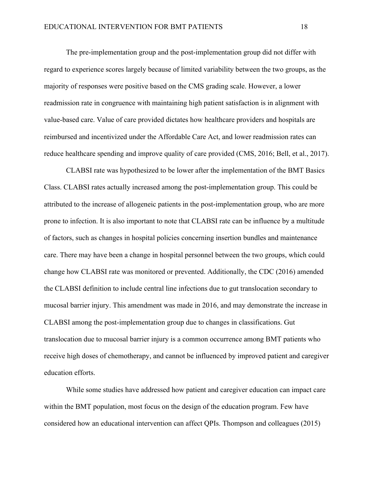The pre-implementation group and the post-implementation group did not differ with regard to experience scores largely because of limited variability between the two groups, as the majority of responses were positive based on the CMS grading scale. However, a lower readmission rate in congruence with maintaining high patient satisfaction is in alignment with value-based care. Value of care provided dictates how healthcare providers and hospitals are reimbursed and incentivized under the Affordable Care Act, and lower readmission rates can reduce healthcare spending and improve quality of care provided (CMS, 2016; Bell, et al., 2017).

CLABSI rate was hypothesized to be lower after the implementation of the BMT Basics Class. CLABSI rates actually increased among the post-implementation group. This could be attributed to the increase of allogeneic patients in the post-implementation group, who are more prone to infection. It is also important to note that CLABSI rate can be influence by a multitude of factors, such as changes in hospital policies concerning insertion bundles and maintenance care. There may have been a change in hospital personnel between the two groups, which could change how CLABSI rate was monitored or prevented. Additionally, the CDC (2016) amended the CLABSI definition to include central line infections due to gut translocation secondary to mucosal barrier injury. This amendment was made in 2016, and may demonstrate the increase in CLABSI among the post-implementation group due to changes in classifications. Gut translocation due to mucosal barrier injury is a common occurrence among BMT patients who receive high doses of chemotherapy, and cannot be influenced by improved patient and caregiver education efforts.

While some studies have addressed how patient and caregiver education can impact care within the BMT population, most focus on the design of the education program. Few have considered how an educational intervention can affect QPIs. Thompson and colleagues (2015)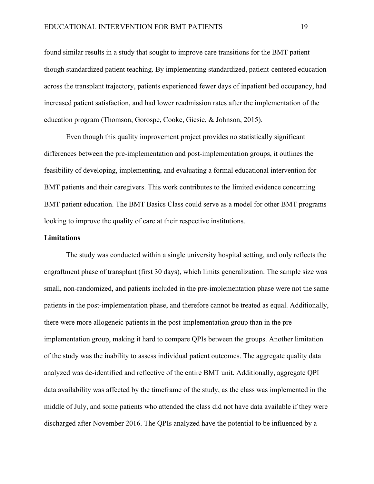found similar results in a study that sought to improve care transitions for the BMT patient though standardized patient teaching. By implementing standardized, patient-centered education across the transplant trajectory, patients experienced fewer days of inpatient bed occupancy, had increased patient satisfaction, and had lower readmission rates after the implementation of the education program (Thomson, Gorospe, Cooke, Giesie, & Johnson, 2015).

Even though this quality improvement project provides no statistically significant differences between the pre-implementation and post-implementation groups, it outlines the feasibility of developing, implementing, and evaluating a formal educational intervention for BMT patients and their caregivers. This work contributes to the limited evidence concerning BMT patient education. The BMT Basics Class could serve as a model for other BMT programs looking to improve the quality of care at their respective institutions.

#### **Limitations**

The study was conducted within a single university hospital setting, and only reflects the engraftment phase of transplant (first 30 days), which limits generalization. The sample size was small, non-randomized, and patients included in the pre-implementation phase were not the same patients in the post-implementation phase, and therefore cannot be treated as equal. Additionally, there were more allogeneic patients in the post-implementation group than in the preimplementation group, making it hard to compare QPIs between the groups. Another limitation of the study was the inability to assess individual patient outcomes. The aggregate quality data analyzed was de-identified and reflective of the entire BMT unit. Additionally, aggregate QPI data availability was affected by the timeframe of the study, as the class was implemented in the middle of July, and some patients who attended the class did not have data available if they were discharged after November 2016. The QPIs analyzed have the potential to be influenced by a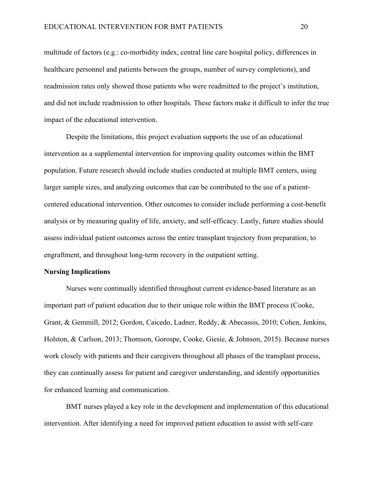multitude of factors (e.g.: co-morbidity index, central line care hospital policy, differences in healthcare personnel and patients between the groups, number of survey completions), and readmission rates only showed those patients who were readmitted to the project's institution, and did not include readmission to other hospitals. These factors make it difficult to infer the true impact of the educational intervention.

Despite the limitations, this project evaluation supports the use of an educational intervention as a supplemental intervention for improving quality outcomes within the BMT population. Future research should include studies conducted at multiple BMT centers, using larger sample sizes, and analyzing outcomes that can be contributed to the use of a patientcentered educational intervention. Other outcomes to consider include performing a cost-benefit analysis or by measuring quality of life, anxiety, and self-efficacy. Lastly, future studies should assess individual patient outcomes across the entire transplant trajectory from preparation, to engraftment, and throughout long-term recovery in the outpatient setting.

#### **Nursing Implications**

Nurses were continually identified throughout current evidence-based literature as an important part of patient education due to their unique role within the BMT process (Cooke, Grant, & Gemmill, 2012; Gordon, Caicedo, Ladner, Reddy, & Abecassis, 2010; Cohen, Jenkins, Holston, & Carlson, 2013; Thomson, Gorospe, Cooke, Giesie, & Johnson, 2015). Because nurses work closely with patients and their caregivers throughout all phases of the transplant process, they can continually assess for patient and caregiver understanding, and identify opportunities for enhanced learning and communication.

BMT nurses played a key role in the development and implementation of this educational intervention. After identifying a need for improved patient education to assist with self-care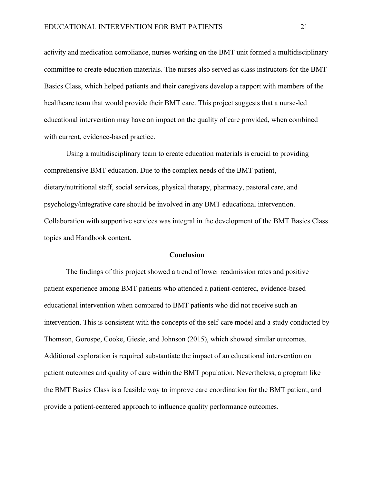activity and medication compliance, nurses working on the BMT unit formed a multidisciplinary committee to create education materials. The nurses also served as class instructors for the BMT Basics Class, which helped patients and their caregivers develop a rapport with members of the healthcare team that would provide their BMT care. This project suggests that a nurse-led educational intervention may have an impact on the quality of care provided, when combined with current, evidence-based practice.

Using a multidisciplinary team to create education materials is crucial to providing comprehensive BMT education. Due to the complex needs of the BMT patient, dietary/nutritional staff, social services, physical therapy, pharmacy, pastoral care, and psychology/integrative care should be involved in any BMT educational intervention. Collaboration with supportive services was integral in the development of the BMT Basics Class topics and Handbook content.

#### **Conclusion**

The findings of this project showed a trend of lower readmission rates and positive patient experience among BMT patients who attended a patient-centered, evidence-based educational intervention when compared to BMT patients who did not receive such an intervention. This is consistent with the concepts of the self-care model and a study conducted by Thomson, Gorospe, Cooke, Giesie, and Johnson (2015), which showed similar outcomes. Additional exploration is required substantiate the impact of an educational intervention on patient outcomes and quality of care within the BMT population. Nevertheless, a program like the BMT Basics Class is a feasible way to improve care coordination for the BMT patient, and provide a patient-centered approach to influence quality performance outcomes.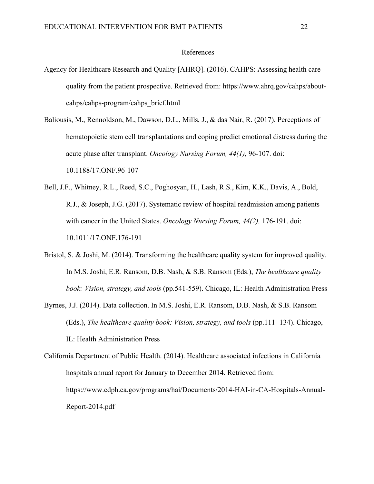#### References

- Agency for Healthcare Research and Quality [AHRQ]. (2016). CAHPS: Assessing health care quality from the patient prospective. Retrieved from: https://www.ahrq.gov/cahps/aboutcahps/cahps-program/cahps\_brief.html
- Baliousis, M., Rennoldson, M., Dawson, D.L., Mills, J., & das Nair, R. (2017). Perceptions of hematopoietic stem cell transplantations and coping predict emotional distress during the acute phase after transplant. *Oncology Nursing Forum, 44(1),* 96-107. doi: 10.1188/17.ONF.96-107
- Bell, J.F., Whitney, R.L., Reed, S.C., Poghosyan, H., Lash, R.S., Kim, K.K., Davis, A., Bold, R.J., & Joseph, J.G. (2017). Systematic review of hospital readmission among patients with cancer in the United States. *Oncology Nursing Forum, 44(2),* 176-191. doi: 10.1011/17.ONF.176-191
- Bristol, S. & Joshi, M. (2014). Transforming the healthcare quality system for improved quality. In M.S. Joshi, E.R. Ransom, D.B. Nash, & S.B. Ransom (Eds.), *The healthcare quality book: Vision, strategy, and tools* (pp.541-559). Chicago, IL: Health Administration Press
- Byrnes, J.J. (2014). Data collection. In M.S. Joshi, E.R. Ransom, D.B. Nash, & S.B. Ransom (Eds.), *The healthcare quality book: Vision, strategy, and tools* (pp.111- 134). Chicago, IL: Health Administration Press
- California Department of Public Health. (2014). Healthcare associated infections in California hospitals annual report for January to December 2014. Retrieved from: https://www.cdph.ca.gov/programs/hai/Documents/2014-HAI-in-CA-Hospitals-Annual-Report-2014.pdf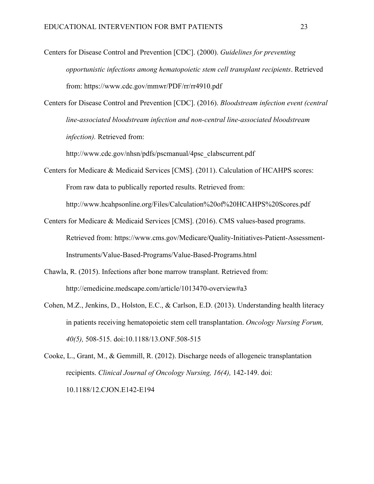Centers for Disease Control and Prevention [CDC]. (2000). *Guidelines for preventing opportunistic infections among hematopoietic stem cell transplant recipients*. Retrieved from: https://www.cdc.gov/mmwr/PDF/rr/rr4910.pdf

Centers for Disease Control and Prevention [CDC]. (2016). *Bloodstream infection event (central line-associated bloodstream infection and non-central line-associated bloodstream infection).* Retrieved from:

http://www.cdc.gov/nhsn/pdfs/pscmanual/4psc\_clabscurrent.pdf

Centers for Medicare & Medicaid Services [CMS]. (2011). Calculation of HCAHPS scores: From raw data to publically reported results. Retrieved from:

http://www.hcahpsonline.org/Files/Calculation%20of%20HCAHPS%20Scores.pdf

- Centers for Medicare & Medicaid Services [CMS]. (2016). CMS values-based programs. Retrieved from: https://www.cms.gov/Medicare/Quality-Initiatives-Patient-Assessment-Instruments/Value-Based-Programs/Value-Based-Programs.html
- Chawla, R. (2015). Infections after bone marrow transplant. Retrieved from: http://emedicine.medscape.com/article/1013470-overview#a3
- Cohen, M.Z., Jenkins, D., Holston, E.C., & Carlson, E.D. (2013). Understanding health literacy in patients receiving hematopoietic stem cell transplantation. *Oncology Nursing Forum, 40(5),* 508-515. doi:10.1188/13.ONF.508-515

Cooke, L., Grant, M., & Gemmill, R. (2012). Discharge needs of allogeneic transplantation recipients. *Clinical Journal of Oncology Nursing, 16(4),* 142-149. doi: 10.1188/12.CJON.E142-E194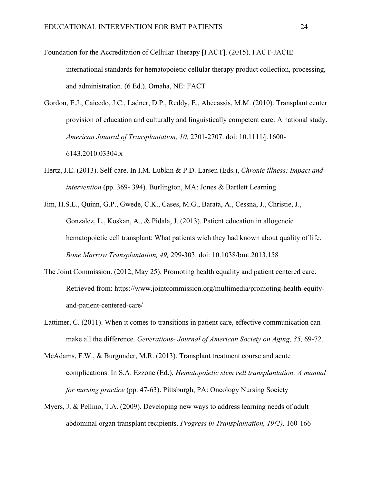- Foundation for the Accreditation of Cellular Therapy [FACT]. (2015). FACT-JACIE international standards for hematopoietic cellular therapy product collection, processing, and administration. (6 Ed.). Omaha, NE: FACT
- Gordon, E.J., Caicedo, J.C., Ladner, D.P., Reddy, E., Abecassis, M.M. (2010). Transplant center provision of education and culturally and linguistically competent care: A national study. *American Jounral of Transplantation, 10,* 2701-2707. doi: 10.1111/j.1600- 6143.2010.03304.x
- Hertz, J.E. (2013). Self-care. In I.M. Lubkin & P.D. Larsen (Eds.), *Chronic illness: Impact and intervention* (pp. 369- 394). Burlington, MA: Jones & Bartlett Learning
- Jim, H.S.L., Quinn, G.P., Gwede, C.K., Cases, M.G., Barata, A., Cessna, J., Christie, J., Gonzalez, L., Koskan, A., & Pidala, J. (2013). Patient education in allogeneic hematopoietic cell transplant: What patients wich they had known about quality of life. *Bone Marrow Transplantation, 49,* 299-303. doi: 10.1038/bmt.2013.158
- The Joint Commission. (2012, May 25). Promoting health equality and patient centered care. Retrieved from: https://www.jointcommission.org/multimedia/promoting-health-equityand-patient-centered-care/
- Lattimer, C. (2011). When it comes to transitions in patient care, effective communication can make all the difference. *Generations- Journal of American Society on Aging, 35,* 69-72.
- McAdams, F.W., & Burgunder, M.R. (2013). Transplant treatment course and acute complications. In S.A. Ezzone (Ed.), *Hematopoietic stem cell transplantation: A manual for nursing practice* (pp. 47-63). Pittsburgh, PA: Oncology Nursing Society
- Myers, J. & Pellino, T.A. (2009). Developing new ways to address learning needs of adult abdominal organ transplant recipients. *Progress in Transplantation, 19(2),* 160-166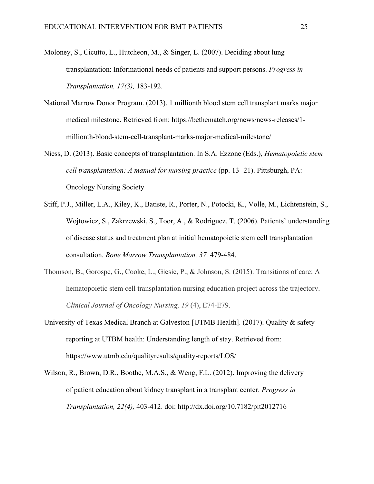- Moloney, S., Cicutto, L., Hutcheon, M., & Singer, L. (2007). Deciding about lung transplantation: Informational needs of patients and support persons. *Progress in Transplantation, 17(3),* 183-192.
- National Marrow Donor Program. (2013). 1 millionth blood stem cell transplant marks major medical milestone. Retrieved from: https://bethematch.org/news/news-releases/1 millionth-blood-stem-cell-transplant-marks-major-medical-milestone/
- Niess, D. (2013). Basic concepts of transplantation. In S.A. Ezzone (Eds.), *Hematopoietic stem cell transplantation: A manual for nursing practice* (pp. 13- 21). Pittsburgh, PA: Oncology Nursing Society
- Stiff, P.J., Miller, L.A., Kiley, K., Batiste, R., Porter, N., Potocki, K., Volle, M., Lichtenstein, S., Wojtowicz, S., Zakrzewski, S., Toor, A., & Rodriguez, T. (2006). Patients' understanding of disease status and treatment plan at initial hematopoietic stem cell transplantation consultation. *Bone Marrow Transplantation, 37,* 479-484.
- Thomson, B., Gorospe, G., Cooke, L., Giesie, P., & Johnson, S. (2015). Transitions of care: A hematopoietic stem cell transplantation nursing education project across the trajectory. *Clinical Journal of Oncology Nursing, 19* (4), E74-E79.
- University of Texas Medical Branch at Galveston [UTMB Health]. (2017). Quality & safety reporting at UTBM health: Understanding length of stay. Retrieved from: https://www.utmb.edu/qualityresults/quality-reports/LOS/
- Wilson, R., Brown, D.R., Boothe, M.A.S., & Weng, F.L. (2012). Improving the delivery of patient education about kidney transplant in a transplant center. *Progress in Transplantation, 22(4),* 403-412. doi: http://dx.doi.org/10.7182/pit2012716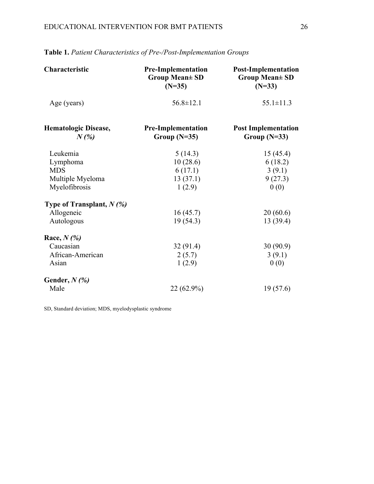| Characteristic                                                          | <b>Pre-Implementation</b><br><b>Group Mean</b> ± SD<br>$(N=35)$ | <b>Post-Implementation</b><br><b>Group Mean± SD</b><br>$(N=33)$ |
|-------------------------------------------------------------------------|-----------------------------------------------------------------|-----------------------------------------------------------------|
| Age (years)                                                             | $56.8 \pm 12.1$                                                 | $55.1 \pm 11.3$                                                 |
| <b>Hematologic Disease,</b><br>$N(\%)$                                  | <b>Pre-Implementation</b><br>Group $(N=35)$                     | <b>Post Implementation</b><br>Group $(N=33)$                    |
| Leukemia<br>Lymphoma<br><b>MDS</b><br>Multiple Myeloma<br>Myelofibrosis | 5(14.3)<br>10(28.6)<br>6(17.1)<br>13(37.1)<br>1(2.9)            | 15(45.4)<br>6(18.2)<br>3(9.1)<br>9(27.3)<br>0(0)                |
| Type of Transplant, $N(\%)$<br>Allogeneic<br>Autologous                 | 16(45.7)<br>19(54.3)                                            | 20(60.6)<br>13 (39.4)                                           |
| Race, $N(\%)$<br>Caucasian<br>African-American<br>Asian                 | 32 (91.4)<br>2(5.7)<br>1(2.9)                                   | 30(90.9)<br>3(9.1)<br>0(0)                                      |
| Gender, $N$ (%)<br>Male                                                 | $22(62.9\%)$                                                    | 19(57.6)                                                        |

| Table 1. Patient Characteristics of Pre-/Post-Implementation Groups |
|---------------------------------------------------------------------|
|---------------------------------------------------------------------|

SD, Standard deviation; MDS, myelodysplastic syndrome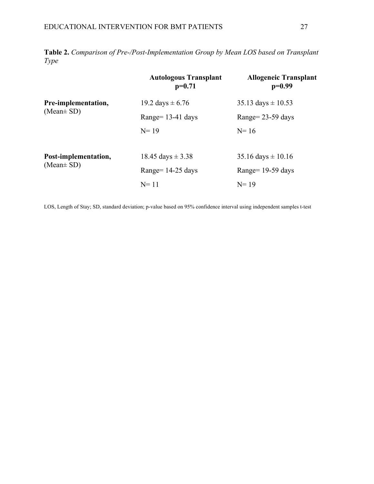**Table 2.** *Comparison of Pre-/Post-Implementation Group by Mean LOS based on Transplant Type*

|                                         | <b>Autologous Transplant</b><br>$p=0.71$ | <b>Allogeneic Transplant</b><br>$p=0.99$ |
|-----------------------------------------|------------------------------------------|------------------------------------------|
| Pre-implementation,<br>(Mean $\pm$ SD)  | 19.2 days $\pm$ 6.76                     | $35.13 \text{ days} \pm 10.53$           |
|                                         | Range = $13-41$ days                     | Range= $23-59$ days                      |
|                                         | $N = 19$                                 | $N = 16$                                 |
| Post-implementation,<br>(Mean $\pm$ SD) | 18.45 days $\pm$ 3.38                    | $35.16 \text{ days} \pm 10.16$           |
|                                         | Range= $14-25$ days                      | Range= $19-59$ days                      |
|                                         | $N = 11$                                 | $N = 19$                                 |

LOS, Length of Stay; SD, standard deviation; p-value based on 95% confidence interval using independent samples t-test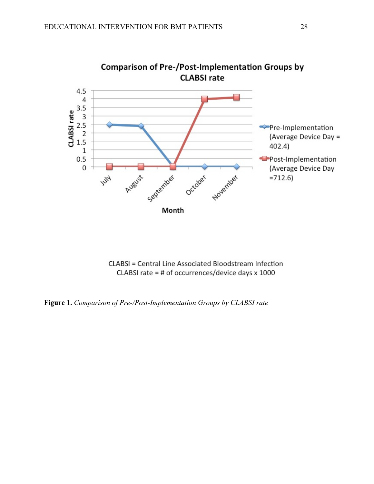

CLABSI = Central Line Associated Bloodstream Infection CLABSI rate = # of occurrences/device days x 1000

**Figure 1.** *Comparison of Pre-/Post-Implementation Groups by CLABSI rate*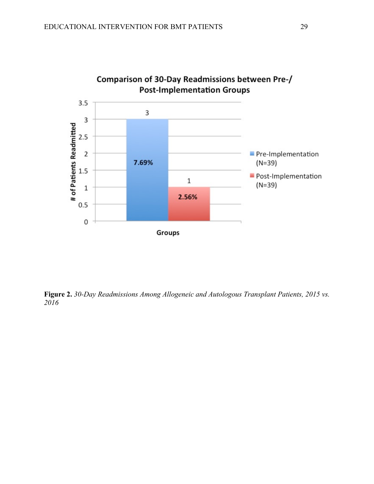

**Figure 2.** *30-Day Readmissions Among Allogeneic and Autologous Transplant Patients, 2015 vs. 2016*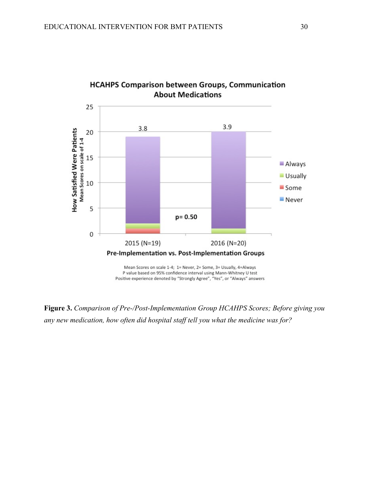

**HCAHPS Comparison between Groups, Communication** 

**Figure 3.** *Comparison of Pre-/Post-Implementation Group HCAHPS Scores; Before giving you any new medication, how often did hospital staff tell you what the medicine was for?*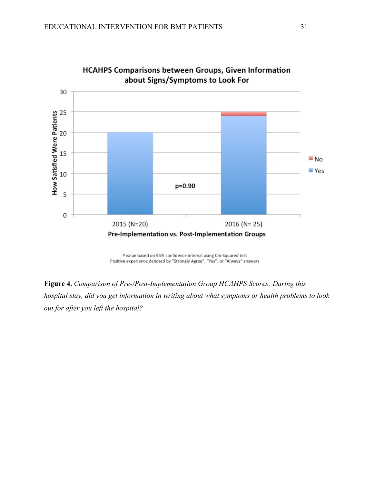

**HCAHPS Comparisons between Groups, Given Information** 

P value based on 95% confidence interval using Chi-Squared test Positive experience denoted by "Strongly Agree", "Yes", or "Always" answers

**Figure 4.** *Comparison of Pre-/Post-Implementation Group HCAHPS Scores; During this hospital stay, did you get information in writing about what symptoms or health problems to look out for after you left the hospital?*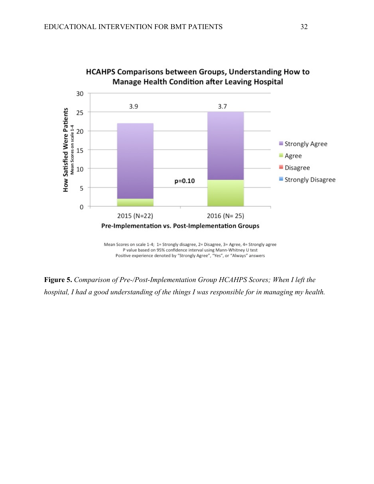

HCAHPS Comparisons between Groups, Understanding How to

**Figure 5.** *Comparison of Pre-/Post-Implementation Group HCAHPS Scores; When I left the hospital, I had a good understanding of the things I was responsible for in managing my health.*

Mean Scores on scale 1-4; 1= Strongly disagree, 2= Disagree, 3= Agree, 4= Strongly agree P value based on 95% confidence interval using Mann-Whitney U test Positive experience denoted by "Strongly Agree", "Yes", or "Always" answers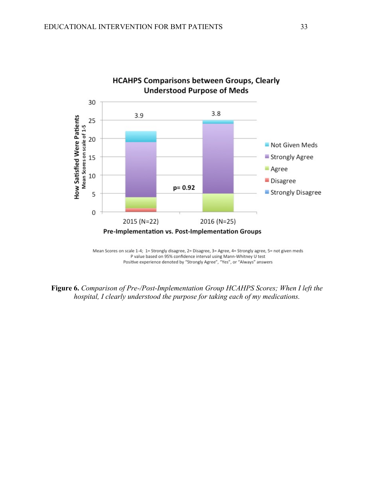

Mean Scores on scale 1-4; 1= Strongly disagree, 2= Disagree, 3= Agree, 4= Strongly agree, 5= not given meds P value based on 95% confidence interval using Mann-Whitney U test Positive experience denoted by "Strongly Agree", "Yes", or "Always" answers

**Figure 6.** *Comparison of Pre-/Post-Implementation Group HCAHPS Scores; When I left the hospital, I clearly understood the purpose for taking each of my medications.*